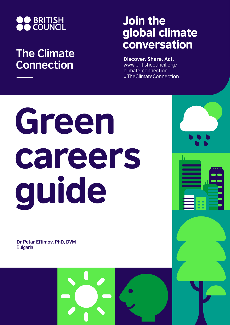

# **The Climate Connection**

# Join the global climate conversation

**Discover. Share. Act.** www.britishcouncil.org/ climate-connection #TheClimateConnection

# Green careers guide

**Dr Petar Eftimov, PhD, DVM** Bulgaria

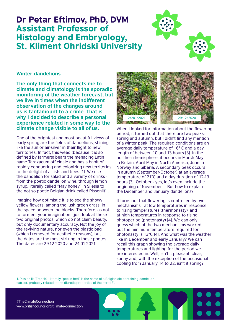## Dr Petar Eftimov, PhD, DVM Assistant Professor of Histology and Embryology, St. Kliment Ohridski University



### **Winter dandelions**

**The only thing that connects me to climate and climatology is the sporadic monitoring of the weather forecast, but we live in times when the indifferent observation of the changes around us is tantamount to a crime. That is why I decided to describe a personal experience related in some way to the climate change visible to all of us.**

One of the brightest and most beautiful views of early spring are the fields of dandelions, shining like the sun or air-silver in their flight to new territories. In fact, this weed (because it is so defined by farmers) bears the menacing Latin name Taraxacum officinale and has a habit of rapidly conquering and colonizing new territories, to the delight of artists and bees [1]. We use the dandelion for salad and a variety of drinks from the poetic dandelion wine, through lemon syrup, literally called "May honey" in Silesia to the not so poetic Belgian drink called Pissenlit**1** .

Imagine how optimistic it is to see the showy yellow flowers, among the lush green grass, in the space between the blocks. Therefore, as not to torment your imagination - just look at these two original photos, which do not claim beauty, but only documentary accuracy. Not the joy of the reviving nature, nor even the plastic bag (which I removed for aesthetic reasons), but the dates are the most striking in these photos. The dates are 29.12.2020 and 24.01.2021.



When I looked for information about the flowering period, it turned out that there are two peaks: spring and autumn, but I didn't find any mention of a winter peak. The required conditions are an average daily temperature of 16° C and a day length of between 10 and 13 hours [3]. In the northern hemisphere, it occurs in March-May in Britain, April-May in North America, June in Norway and Siberia. A secondary peak occurs in autumn (September-October) at an average temperature of 21°C and a day duration of 12-13 hours [3]. October - yes, let's even include the beginning of November ... But how to explain the December and January dandelions?

It turns out that flowering is controlled by two mechanisms - at low temperatures in response to rising temperatures (thermonasty), and at high temperatures in response to rising photoperiod (photonasty) [4]. We can only guess which of the two mechanisms worked, but the minimum temperature required for photonasty is 13°C [4]. And what was the weather like in December and early January? We can recall this graph showing the average daily temperatures and lighting for the period we are interested in. Well, isn't it pleasant, clear, sunny and, with the exception of the occasional cooling from January 14 to 22, isn't it spring?

1. Piss en lit (French) - literally "pee in bed" is the name of a Belgian ale containing dandelion extract, probably related to the diuretic properties of the herb [2].

#TheClimateConnection www.britishcouncil.org/climate-connection